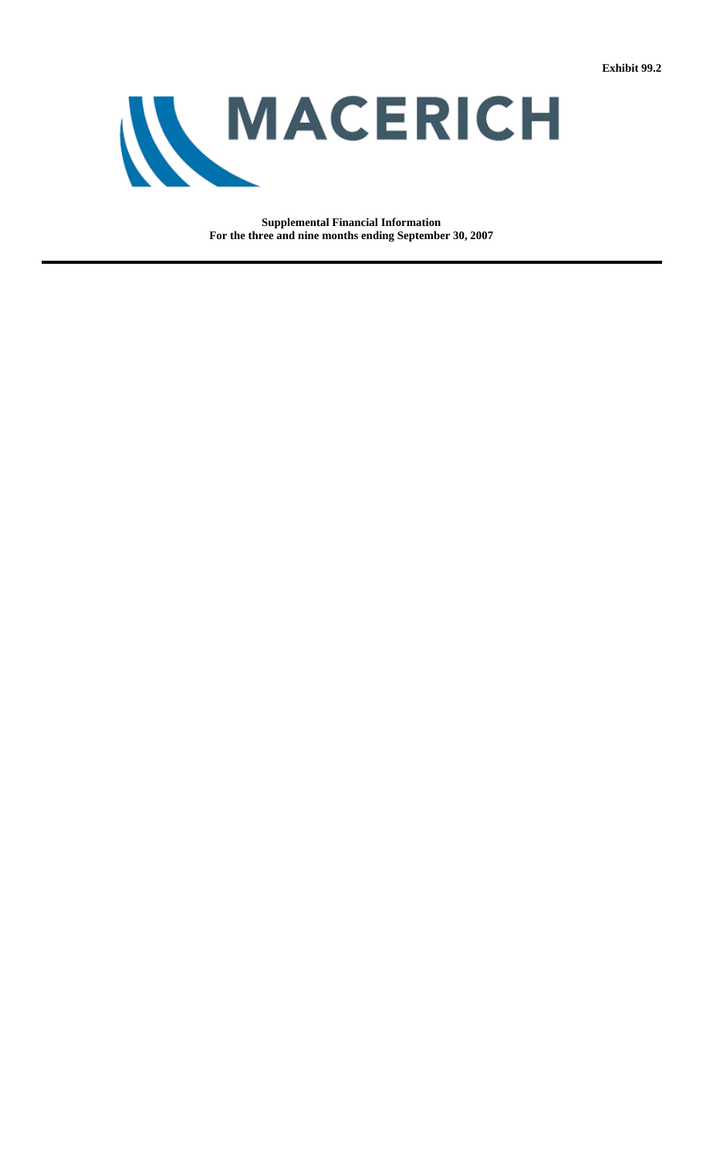**Exhibit 99.2**



**Supplemental Financial Information For the three and nine months ending September 30, 2007**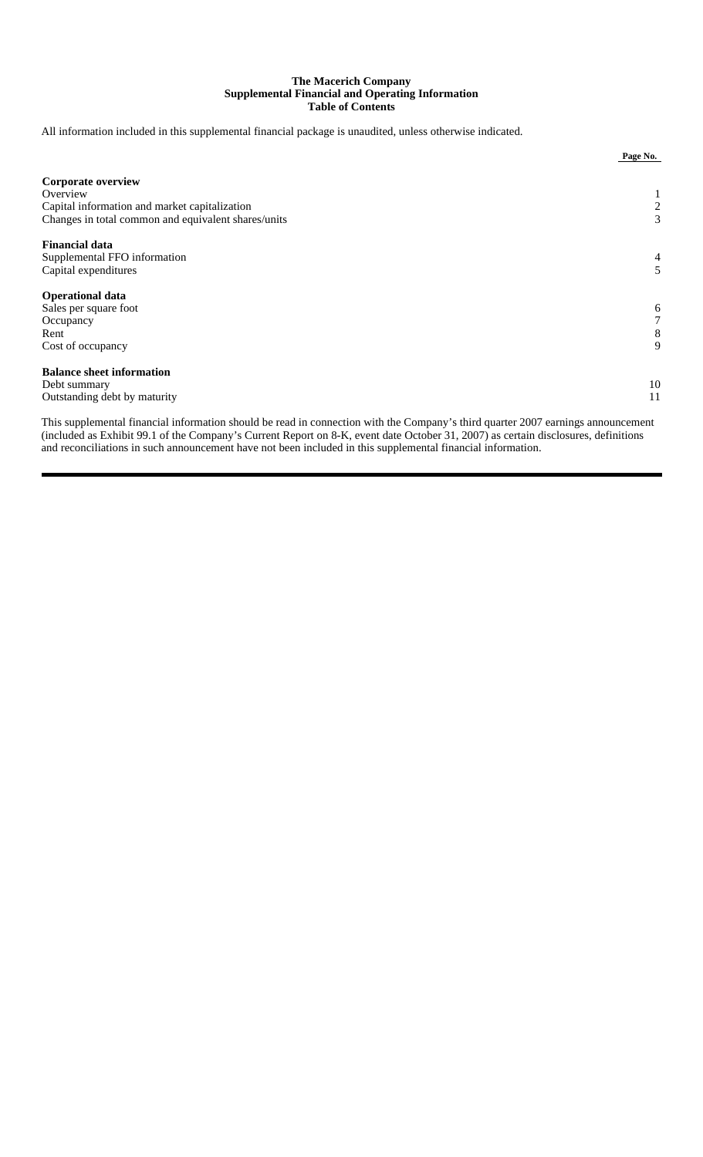## **The Macerich Company Supplemental Financial and Operating Information Table of Contents**

All information included in this supplemental financial package is unaudited, unless otherwise indicated.

|                                                     | Page No.                    |
|-----------------------------------------------------|-----------------------------|
| <b>Corporate overview</b>                           |                             |
| Overview                                            | $\mathbf{I}$                |
| Capital information and market capitalization       | $\overline{c}$              |
| Changes in total common and equivalent shares/units | 3                           |
| <b>Financial data</b>                               |                             |
| Supplemental FFO information                        | 4                           |
| Capital expenditures                                | 5                           |
| <b>Operational data</b>                             |                             |
| Sales per square foot                               | 6                           |
| Occupancy                                           | 7                           |
| Rent                                                | 8                           |
| Cost of occupancy                                   | 9                           |
| <b>Balance sheet information</b>                    |                             |
| Debt summary                                        | 10                          |
| Outstanding debt by maturity                        | 11                          |
| ---                                                 | $\sim$ $\sim$ $\sim$ $\sim$ |

This supplemental financial information should be read in connection with the Company's third quarter 2007 earnings announcement (included as Exhibit 99.1 of the Company's Current Report on 8-K, event date October 31, 2007) as certain disclosures, definitions and reconciliations in such announcement have not been included in this supplemental financial information.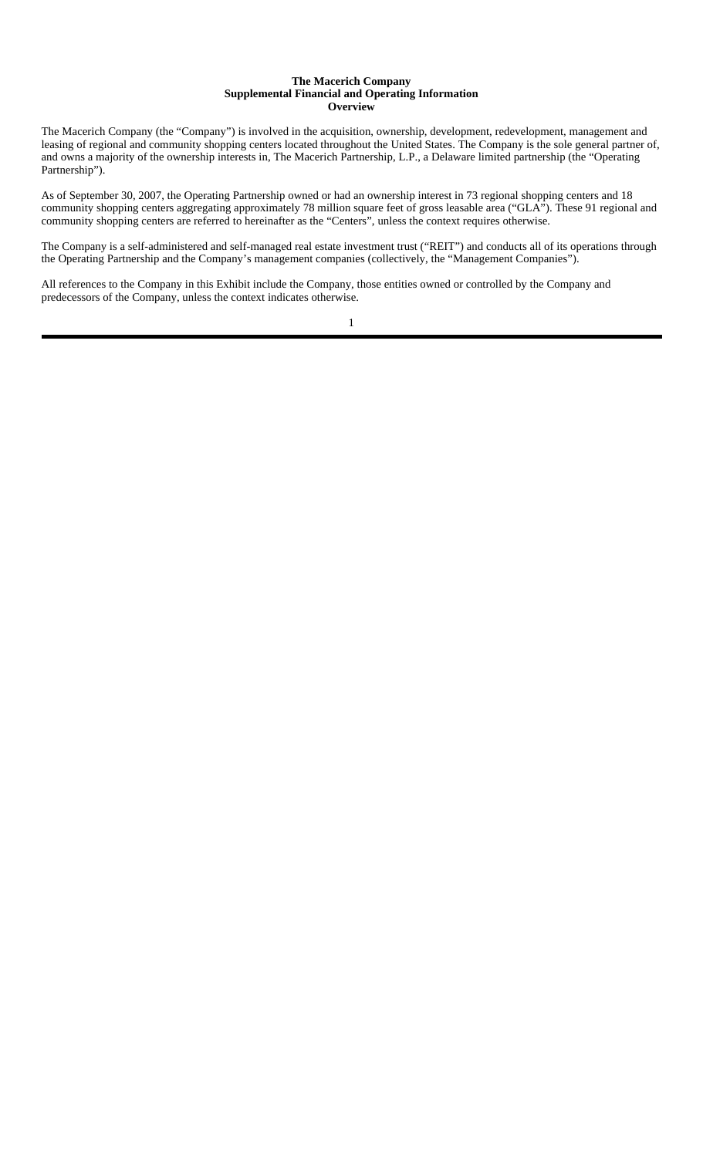#### **The Macerich Company Supplemental Financial and Operating Information Overview**

The Macerich Company (the "Company") is involved in the acquisition, ownership, development, redevelopment, management and leasing of regional and community shopping centers located throughout the United States. The Company is the sole general partner of, and owns a majority of the ownership interests in, The Macerich Partnership, L.P., a Delaware limited partnership (the "Operating Partnership").

As of September 30, 2007, the Operating Partnership owned or had an ownership interest in 73 regional shopping centers and 18 community shopping centers aggregating approximately 78 million square feet of gross leasable area ("GLA"). These 91 regional and community shopping centers are referred to hereinafter as the "Centers", unless the context requires otherwise.

The Company is a self-administered and self-managed real estate investment trust ("REIT") and conducts all of its operations through the Operating Partnership and the Company's management companies (collectively, the "Management Companies").

All references to the Company in this Exhibit include the Company, those entities owned or controlled by the Company and predecessors of the Company, unless the context indicates otherwise.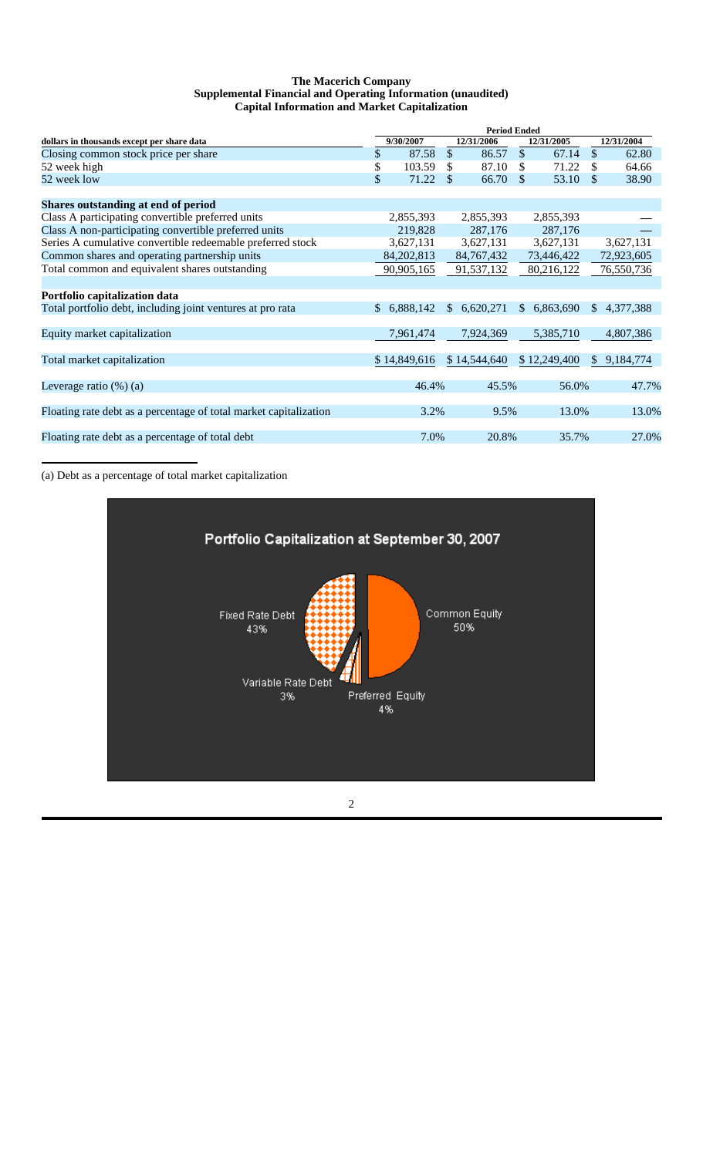#### **The Macerich Company Supplemental Financial and Operating Information (unaudited) Capital Information and Market Capitalization**

|                                                                   | <b>Period Ended</b> |              |               |              |               |              |               |            |
|-------------------------------------------------------------------|---------------------|--------------|---------------|--------------|---------------|--------------|---------------|------------|
| dollars in thousands except per share data                        |                     | 9/30/2007    |               | 12/31/2006   |               | 12/31/2005   |               | 12/31/2004 |
| Closing common stock price per share                              | \$                  | 87.58        | $\mathcal{S}$ | 86.57        | $\mathcal{S}$ | 67.14        | $\mathcal{S}$ | 62.80      |
| 52 week high                                                      | \$                  | 103.59       | \$            | 87.10        | \$            | 71.22        | \$.           | 64.66      |
| 52 week low                                                       | \$                  | 71.22        | \$            | 66.70        | \$            | 53.10        | $\mathcal{S}$ | 38.90      |
| Shares outstanding at end of period                               |                     |              |               |              |               |              |               |            |
| Class A participating convertible preferred units                 |                     | 2,855,393    |               | 2,855,393    |               | 2,855,393    |               |            |
| Class A non-participating convertible preferred units             |                     | 219,828      |               | 287,176      |               | 287,176      |               |            |
| Series A cumulative convertible redeemable preferred stock        |                     | 3,627,131    |               | 3,627,131    |               | 3,627,131    |               | 3,627,131  |
| Common shares and operating partnership units                     |                     | 84, 202, 813 |               | 84, 767, 432 |               | 73,446,422   |               | 72,923,605 |
| Total common and equivalent shares outstanding                    |                     | 90,905,165   |               | 91,537,132   |               | 80,216,122   |               | 76,550,736 |
| Portfolio capitalization data                                     |                     |              |               |              |               |              |               |            |
| Total portfolio debt, including joint ventures at pro rata        | $\mathbb{S}$        | 6,888,142    | <sup>\$</sup> | 6,620,271    |               | \$6,863,690  | <sup>\$</sup> | 4,377,388  |
| Equity market capitalization                                      |                     | 7,961,474    |               | 7,924,369    |               | 5,385,710    |               | 4,807,386  |
| Total market capitalization                                       |                     | \$14,849,616 |               | \$14,544,640 |               | \$12,249,400 | <sup>S</sup>  | 9,184,774  |
| Leverage ratio $(\%)$ (a)                                         |                     | 46.4%        |               | 45.5%        |               | 56.0%        |               | 47.7%      |
| Floating rate debt as a percentage of total market capitalization |                     | 3.2%         |               | 9.5%         |               | 13.0%        |               | 13.0%      |
| Floating rate debt as a percentage of total debt                  |                     | 7.0%         |               | 20.8%        |               | 35.7%        |               | 27.0%      |

(a) Debt as a percentage of total market capitalization

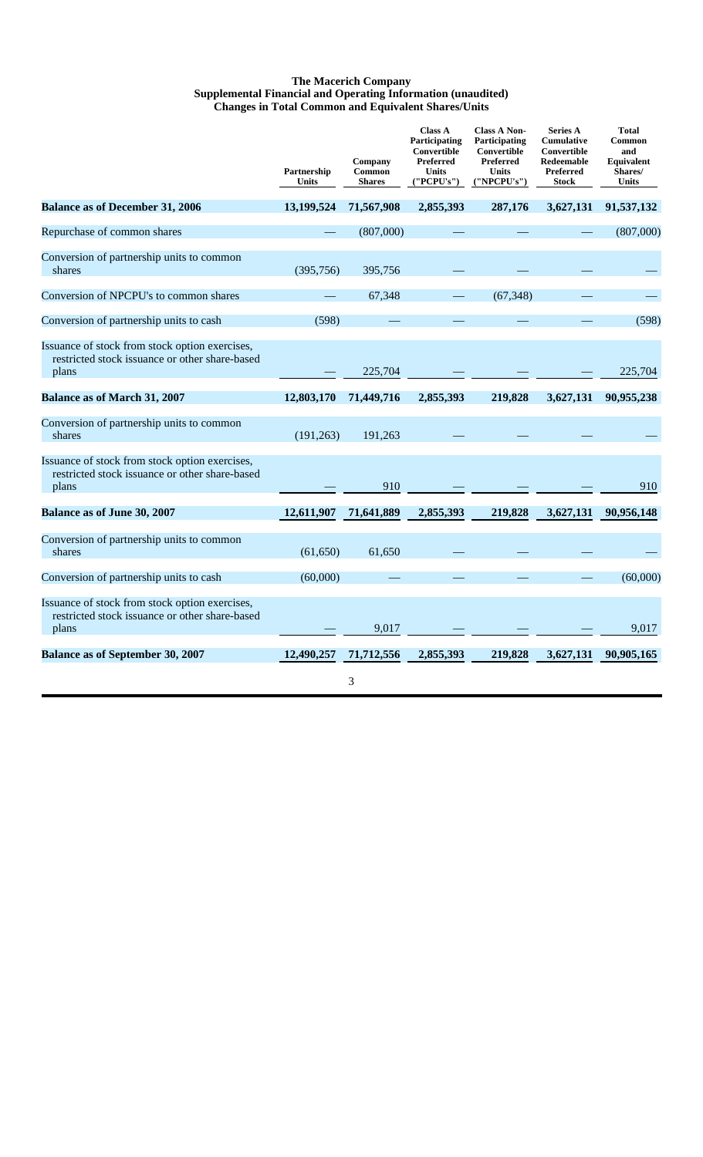#### **The Macerich Company Supplemental Financial and Operating Information (unaudited) Changes in Total Common and Equivalent Shares/Units**

|                                                                                                           | Partnership<br>Units | Company<br>Common<br><b>Shares</b> | <b>Class A</b><br>Participating<br>Convertible<br><b>Preferred</b><br>Units<br>('PCPU's") | <b>Class A Non-</b><br>Participating<br>Convertible<br>Preferred<br><b>Units</b><br>('NPCPU's") | <b>Series A</b><br>Cumulative<br>Convertible<br>Redeemable<br>Preferred<br><b>Stock</b> | <b>Total</b><br>Common<br>and<br>Equivalent<br>Shares/<br><b>Units</b> |
|-----------------------------------------------------------------------------------------------------------|----------------------|------------------------------------|-------------------------------------------------------------------------------------------|-------------------------------------------------------------------------------------------------|-----------------------------------------------------------------------------------------|------------------------------------------------------------------------|
| <b>Balance as of December 31, 2006</b>                                                                    | 13,199,524           | 71,567,908                         | 2,855,393                                                                                 | 287,176                                                                                         | 3,627,131                                                                               | 91,537,132                                                             |
| Repurchase of common shares                                                                               |                      | (807,000)                          |                                                                                           |                                                                                                 |                                                                                         | (807,000)                                                              |
| Conversion of partnership units to common<br>shares                                                       | (395,756)            | 395,756                            |                                                                                           |                                                                                                 |                                                                                         |                                                                        |
| Conversion of NPCPU's to common shares                                                                    |                      | 67,348                             |                                                                                           | (67, 348)                                                                                       |                                                                                         |                                                                        |
| Conversion of partnership units to cash                                                                   | (598)                |                                    |                                                                                           |                                                                                                 |                                                                                         | (598)                                                                  |
| Issuance of stock from stock option exercises,<br>restricted stock issuance or other share-based<br>plans |                      | 225,704                            |                                                                                           |                                                                                                 |                                                                                         | 225,704                                                                |
| <b>Balance as of March 31, 2007</b>                                                                       | 12,803,170           | 71,449,716                         | 2,855,393                                                                                 | 219,828                                                                                         | 3,627,131                                                                               | 90,955,238                                                             |
| Conversion of partnership units to common<br>shares                                                       | (191, 263)           | 191,263                            |                                                                                           |                                                                                                 |                                                                                         |                                                                        |
| Issuance of stock from stock option exercises,<br>restricted stock issuance or other share-based<br>plans |                      | 910                                |                                                                                           |                                                                                                 |                                                                                         | 910                                                                    |
| Balance as of June 30, 2007                                                                               | 12,611,907           | 71,641,889                         | 2,855,393                                                                                 | 219,828                                                                                         | 3,627,131                                                                               | 90,956,148                                                             |
| Conversion of partnership units to common<br>shares                                                       | (61, 650)            | 61,650                             |                                                                                           |                                                                                                 |                                                                                         |                                                                        |
| Conversion of partnership units to cash                                                                   | (60,000)             |                                    |                                                                                           |                                                                                                 |                                                                                         | (60,000)                                                               |
| Issuance of stock from stock option exercises,<br>restricted stock issuance or other share-based<br>plans |                      | 9,017                              |                                                                                           |                                                                                                 |                                                                                         | 9,017                                                                  |
| <b>Balance as of September 30, 2007</b>                                                                   | 12,490,257           | 71,712,556                         | 2,855,393                                                                                 | 219,828                                                                                         | 3,627,131                                                                               | 90,905,165                                                             |
|                                                                                                           |                      | 3                                  |                                                                                           |                                                                                                 |                                                                                         |                                                                        |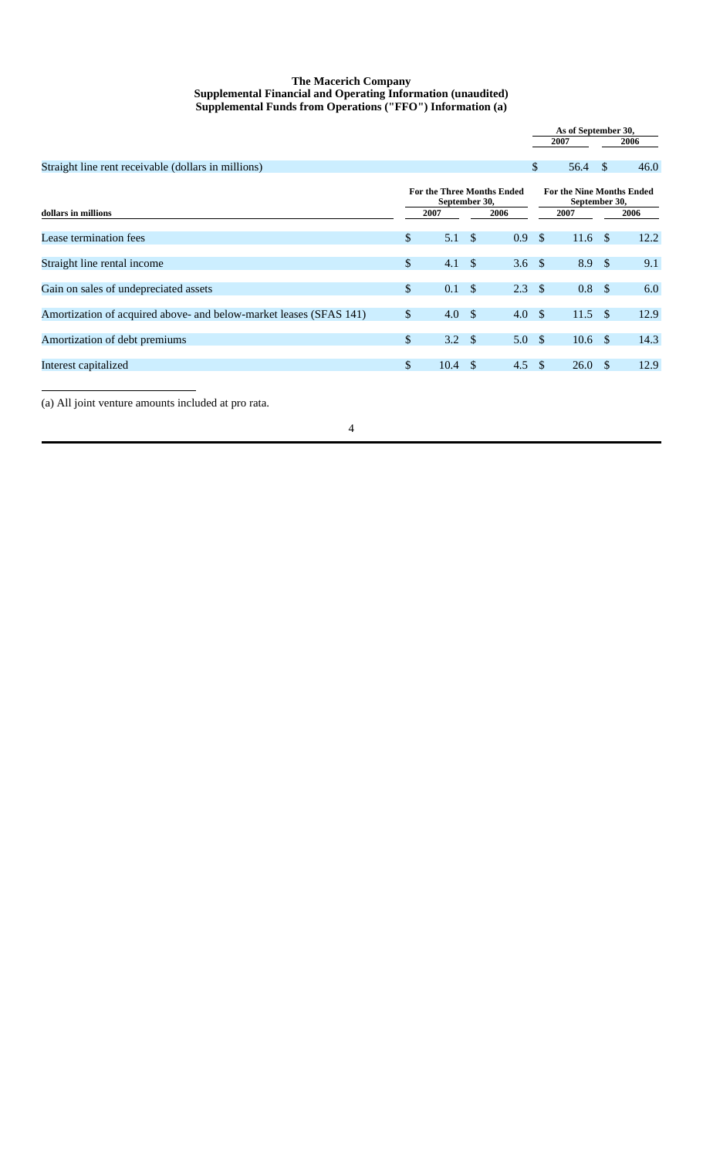#### **The Macerich Company Supplemental Financial and Operating Information (unaudited) Supplemental Funds from Operations ("FFO") Information (a)**

|                                                                    |                                                    |                   |     |                  |                                                   |                    | As of September 30, |      |
|--------------------------------------------------------------------|----------------------------------------------------|-------------------|-----|------------------|---------------------------------------------------|--------------------|---------------------|------|
|                                                                    |                                                    |                   |     |                  |                                                   | 2007               |                     | 2006 |
| Straight line rent receivable (dollars in millions)                |                                                    |                   |     |                  | $\mathbb{S}$                                      | 56.4               | \$                  | 46.0 |
|                                                                    | <b>For the Three Months Ended</b><br>September 30, |                   |     |                  | <b>For the Nine Months Ended</b><br>September 30, |                    |                     |      |
| dollars in millions                                                |                                                    | 2007              |     | 2006             |                                                   | 2007               |                     | 2006 |
| Lease termination fees                                             | \$                                                 | $5.1 \text{ }$ \$ |     | 0.9              | $\mathcal{S}$                                     | $11.6 \text{ }$ \$ |                     | 12.2 |
| Straight line rental income                                        | \$                                                 | $4.1 \quad$       |     | 3.6 $\sqrt{ }$   |                                                   | 8.9 <sup>°</sup>   |                     | 9.1  |
| Gain on sales of undepreciated assets                              | \$                                                 | $0.1 \quad$       |     | 2.3 <sup>°</sup> |                                                   | 0.8 <sup>5</sup>   |                     | 6.0  |
| Amortization of acquired above- and below-market leases (SFAS 141) | $\mathbb{S}$                                       | 4.0 $\sqrt$       |     | 4.0              | $\mathcal{S}$                                     | $11.5$ \$          |                     | 12.9 |
| Amortization of debt premiums                                      | \$                                                 | 3.2 $\sqrt{$}$    |     | 5.0              | - \$                                              | $10.6 \text{ }$ \$ |                     | 14.3 |
| Interest capitalized                                               | $\mathbb{S}$                                       | 10.4              | -\$ | $4.5 \quad$      |                                                   | 26.0               | -S                  | 12.9 |

(a) All joint venture amounts included at pro rata.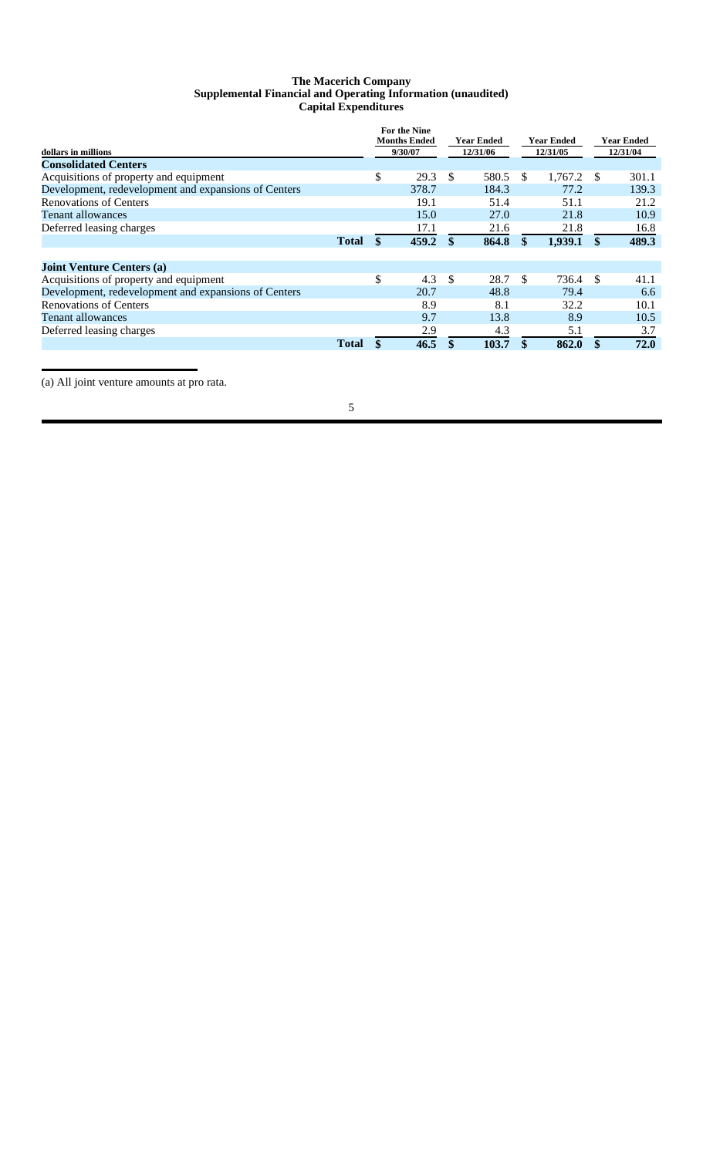## **The Macerich Company Supplemental Financial and Operating Information (unaudited) Capital Expenditures**

| dollars in millions<br><b>Consolidated Centers</b>   |              | <b>For the Nine</b><br><b>Months Ended</b><br>9/30/07 |       | <b>Year Ended</b> |          | <b>Year Ended</b> |          | <b>Year Ended</b> |          |
|------------------------------------------------------|--------------|-------------------------------------------------------|-------|-------------------|----------|-------------------|----------|-------------------|----------|
|                                                      |              |                                                       |       |                   | 12/31/06 |                   | 12/31/05 |                   | 12/31/04 |
| Acquisitions of property and equipment               |              | \$                                                    | 29.3  | \$                | 580.5    | S.                | 1.767.2  | \$.               | 301.1    |
| Development, redevelopment and expansions of Centers |              |                                                       | 378.7 |                   | 184.3    |                   | 77.2     |                   | 139.3    |
| <b>Renovations of Centers</b>                        |              |                                                       | 19.1  |                   | 51.4     |                   | 51.1     |                   | 21.2     |
| Tenant allowances                                    |              |                                                       | 15.0  |                   | 27.0     |                   | 21.8     |                   | 10.9     |
| Deferred leasing charges                             |              |                                                       | 17.1  |                   | 21.6     |                   | 21.8     |                   | 16.8     |
|                                                      | <b>Total</b> | \$                                                    | 459.2 | \$                | 864.8    | \$                | 1,939.1  | \$                | 489.3    |
| <b>Joint Venture Centers (a)</b>                     |              |                                                       |       |                   |          |                   |          |                   |          |
| Acquisitions of property and equipment               |              | \$                                                    | 4.3   | \$.               | 28.7     | -S                | 736.4    | -S                | 41.1     |
| Development, redevelopment and expansions of Centers |              |                                                       | 20.7  |                   | 48.8     |                   | 79.4     |                   | 6.6      |
| <b>Renovations of Centers</b>                        |              |                                                       | 8.9   |                   | 8.1      |                   | 32.2     |                   | 10.1     |
| <b>Tenant allowances</b>                             |              |                                                       | 9.7   |                   | 13.8     |                   | 8.9      |                   | 10.5     |
| Deferred leasing charges                             |              |                                                       | 2.9   |                   | 4.3      |                   | 5.1      |                   | 3.7      |
|                                                      | <b>Total</b> |                                                       | 46.5  | $\mathbf{s}$      | 103.7    | \$                | 862.0    |                   | 72.0     |

(a) All joint venture amounts at pro rata.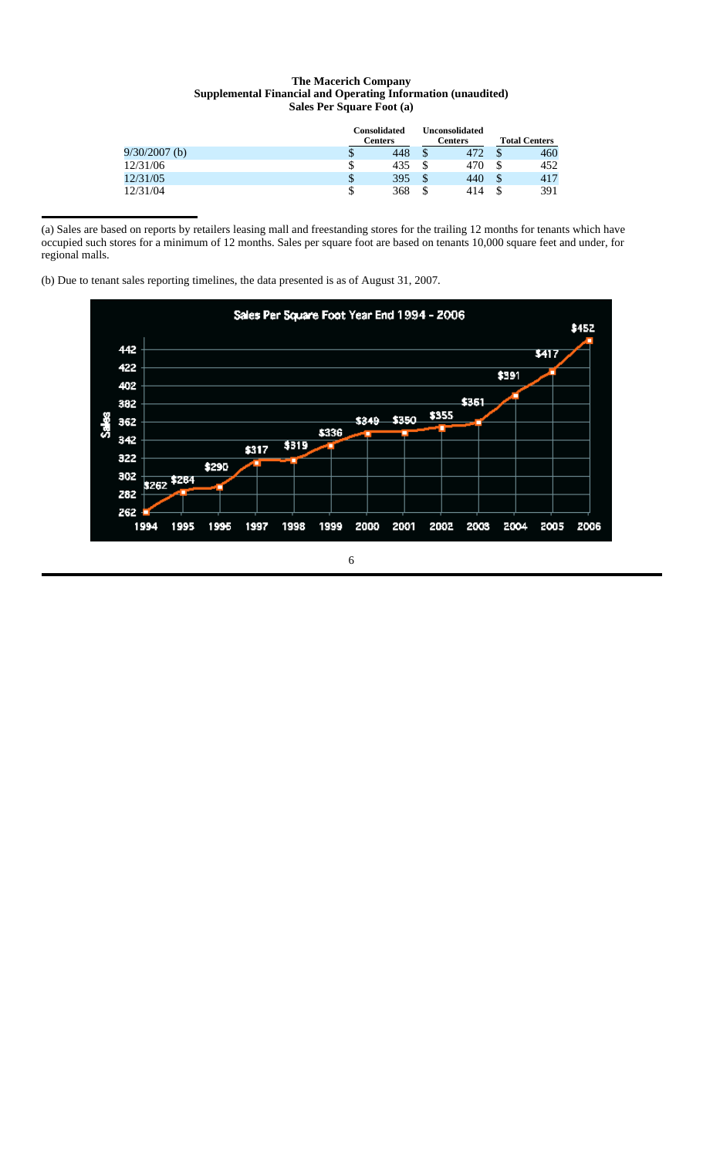## **The Macerich Company Supplemental Financial and Operating Information (unaudited) Sales Per Square Foot (a)**

|                 |    | <b>Consolidated</b><br><b>Centers</b> |    | Unconsolidated<br>Centers | <b>Total Centers</b> |     |  |
|-----------------|----|---------------------------------------|----|---------------------------|----------------------|-----|--|
| $9/30/2007$ (b) | ۰D | 448                                   |    | 472                       |                      | 460 |  |
| 12/31/06        | \$ | 435                                   |    | 470                       |                      | 452 |  |
| 12/31/05        | \$ | 395                                   | \$ | 440                       | Ф                    | 417 |  |
| 12/31/04        | \$ | 368                                   | S  | 414                       |                      | 391 |  |

(a) Sales are based on reports by retailers leasing mall and freestanding stores for the trailing 12 months for tenants which have occupied such stores for a minimum of 12 months. Sales per square foot are based on tenants 10,000 square feet and under, for regional malls.

(b) Due to tenant sales reporting timelines, the data presented is as of August 31, 2007.

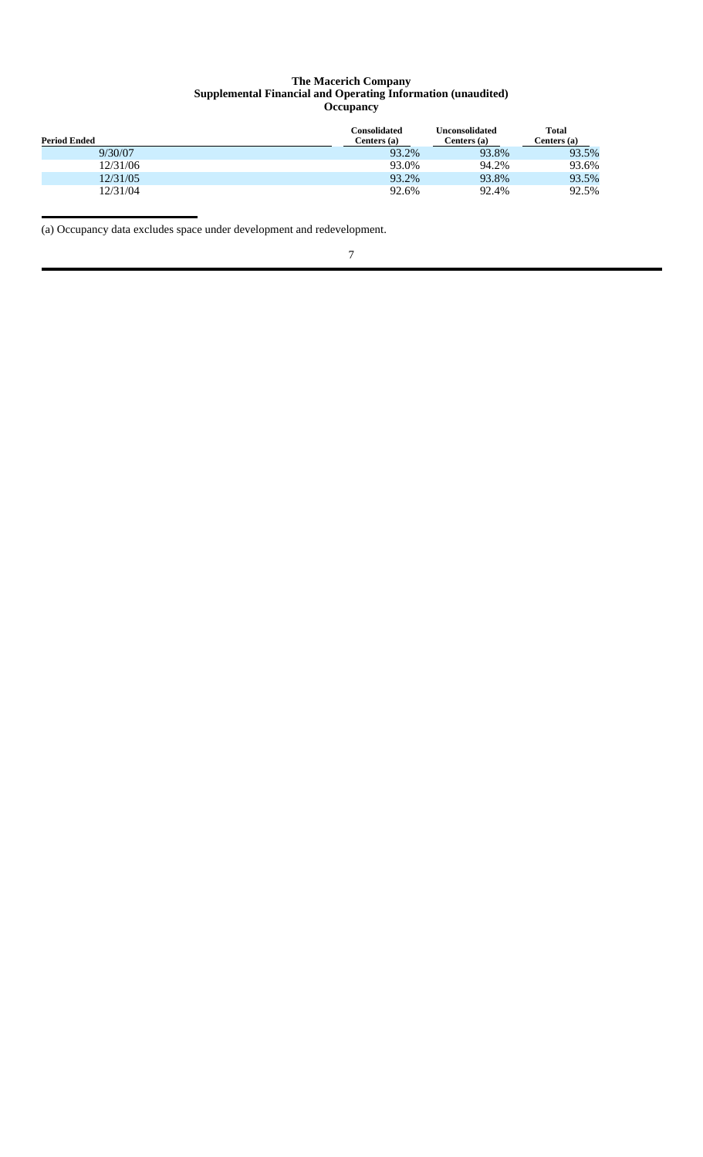#### **The Macerich Company Supplemental Financial and Operating Information (unaudited) Occupancy**

| <b>Period Ended</b> | Consolidated<br>Centers (a) | <b>Unconsolidated</b><br>Centers (a) | <b>Total</b><br>Centers (a) |
|---------------------|-----------------------------|--------------------------------------|-----------------------------|
| 9/30/07             | 93.2%                       | 93.8%                                | 93.5%                       |
| 12/31/06            | 93.0%                       | 94.2%                                | 93.6%                       |
| 12/31/05            | 93.2%                       | 93.8%                                | 93.5%                       |
| 12/31/04            | 92.6%                       | 92.4%                                | 92.5%                       |

(a) Occupancy data excludes space under development and redevelopment.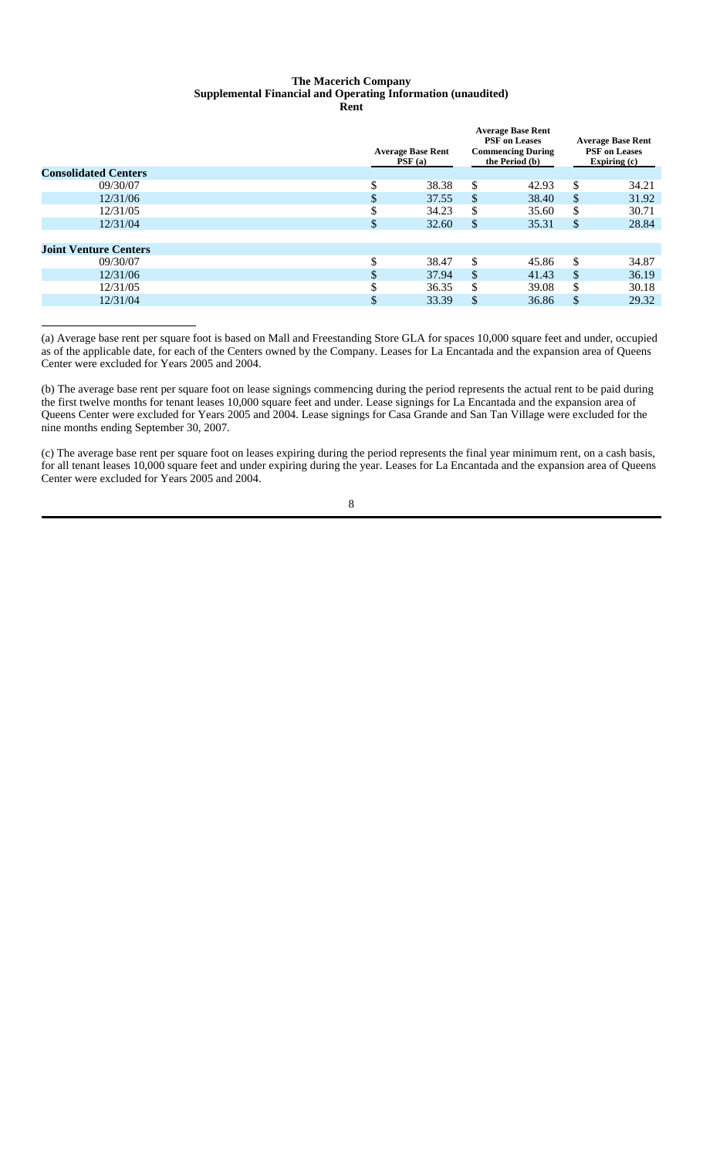# **The Macerich Company Supplemental Financial and Operating Information (unaudited)**

**Rent**

| <b>Consolidated Centers</b>  | <b>Average Base Rent</b><br>PSF(a) | <b>Average Base Rent</b><br><b>PSF</b> on Leases<br><b>Commencing During</b><br>the Period (b) |               | <b>Average Base Rent</b><br><b>PSF</b> on Leases<br>Expiring (c) |
|------------------------------|------------------------------------|------------------------------------------------------------------------------------------------|---------------|------------------------------------------------------------------|
| 09/30/07                     | \$<br>38.38                        | \$<br>42.93                                                                                    | \$            | 34.21                                                            |
| 12/31/06                     | \$<br>37.55                        | \$<br>38.40                                                                                    | \$            | 31.92                                                            |
| 12/31/05                     | \$<br>34.23                        | \$<br>35.60                                                                                    | \$            | 30.71                                                            |
| 12/31/04                     | \$<br>32.60                        | \$<br>35.31                                                                                    | \$            | 28.84                                                            |
|                              |                                    |                                                                                                |               |                                                                  |
| <b>Joint Venture Centers</b> |                                    |                                                                                                |               |                                                                  |
| 09/30/07                     | \$<br>38.47                        | \$<br>45.86                                                                                    | <sup>\$</sup> | 34.87                                                            |
| 12/31/06                     | \$<br>37.94                        | \$<br>41.43                                                                                    | \$            | 36.19                                                            |
| 12/31/05                     | \$<br>36.35                        | \$<br>39.08                                                                                    | \$            | 30.18                                                            |
| 12/31/04                     | \$<br>33.39                        | \$<br>36.86                                                                                    | \$            | 29.32                                                            |
|                              |                                    |                                                                                                |               |                                                                  |

(a) Average base rent per square foot is based on Mall and Freestanding Store GLA for spaces 10,000 square feet and under, occupied as of the applicable date, for each of the Centers owned by the Company. Leases for La Encantada and the expansion area of Queens Center were excluded for Years 2005 and 2004.

(b) The average base rent per square foot on lease signings commencing during the period represents the actual rent to be paid during the first twelve months for tenant leases 10,000 square feet and under. Lease signings for La Encantada and the expansion area of Queens Center were excluded for Years 2005 and 2004. Lease signings for Casa Grande and San Tan Village were excluded for the nine months ending September 30, 2007.

(c) The average base rent per square foot on leases expiring during the period represents the final year minimum rent, on a cash basis, for all tenant leases 10,000 square feet and under expiring during the year. Leases for La Encantada and the expansion area of Queens Center were excluded for Years 2005 and 2004.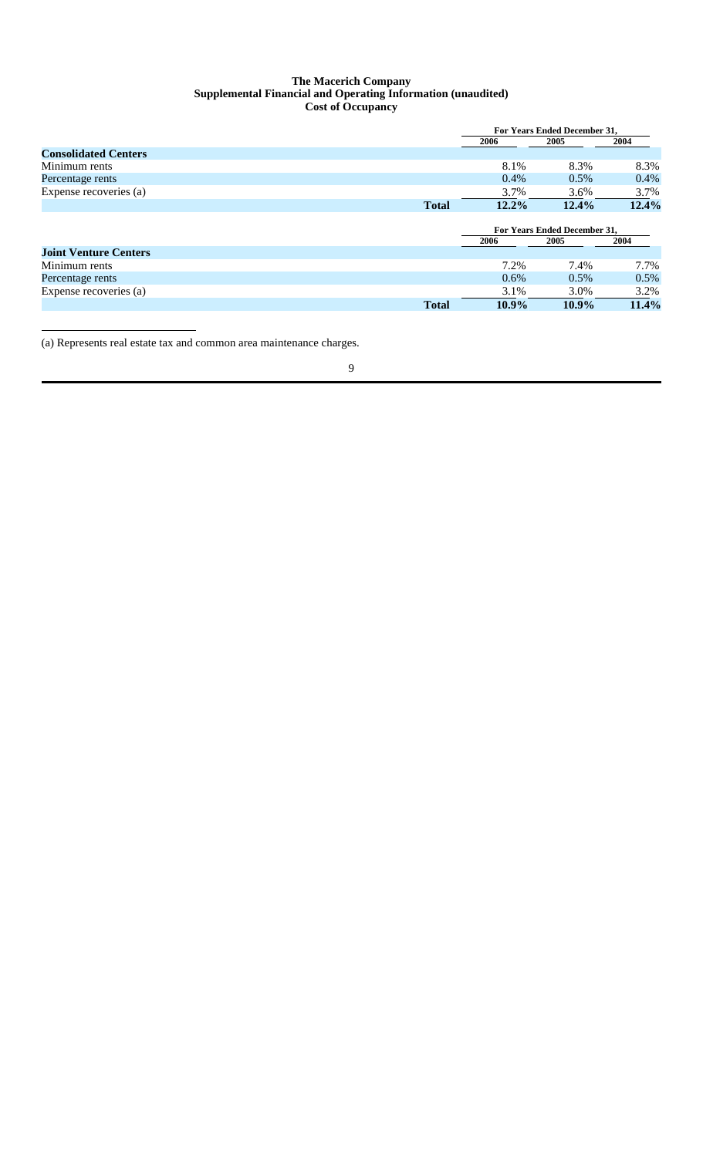#### **The Macerich Company Supplemental Financial and Operating Information (unaudited) Cost of Occupancy**

|                              |              |         | <b>For Years Ended December 31.</b> |       |  |  |
|------------------------------|--------------|---------|-------------------------------------|-------|--|--|
|                              |              | 2006    | 2005                                | 2004  |  |  |
| <b>Consolidated Centers</b>  |              |         |                                     |       |  |  |
| Minimum rents                |              | 8.1%    | 8.3%                                | 8.3%  |  |  |
| Percentage rents             |              | 0.4%    | $0.5\%$                             | 0.4%  |  |  |
| Expense recoveries (a)       |              | 3.7%    | 3.6%                                | 3.7%  |  |  |
|                              | <b>Total</b> | 12.2%   | 12.4%                               | 12.4% |  |  |
|                              |              |         | <b>For Years Ended December 31.</b> |       |  |  |
|                              |              | 2006    | 2005                                |       |  |  |
| <b>Joint Venture Centers</b> |              |         |                                     | 2004  |  |  |
| Minimum rents                |              | 7.2%    | 7.4%                                | 7.7%  |  |  |
| Percentage rents             |              | $0.6\%$ | $0.5\%$                             | 0.5%  |  |  |
| Expense recoveries (a)       |              | 3.1%    | 3.0%                                | 3.2%  |  |  |
|                              | <b>Total</b> | 10.9%   | $10.9\%$                            | 11.4% |  |  |

(a) Represents real estate tax and common area maintenance charges.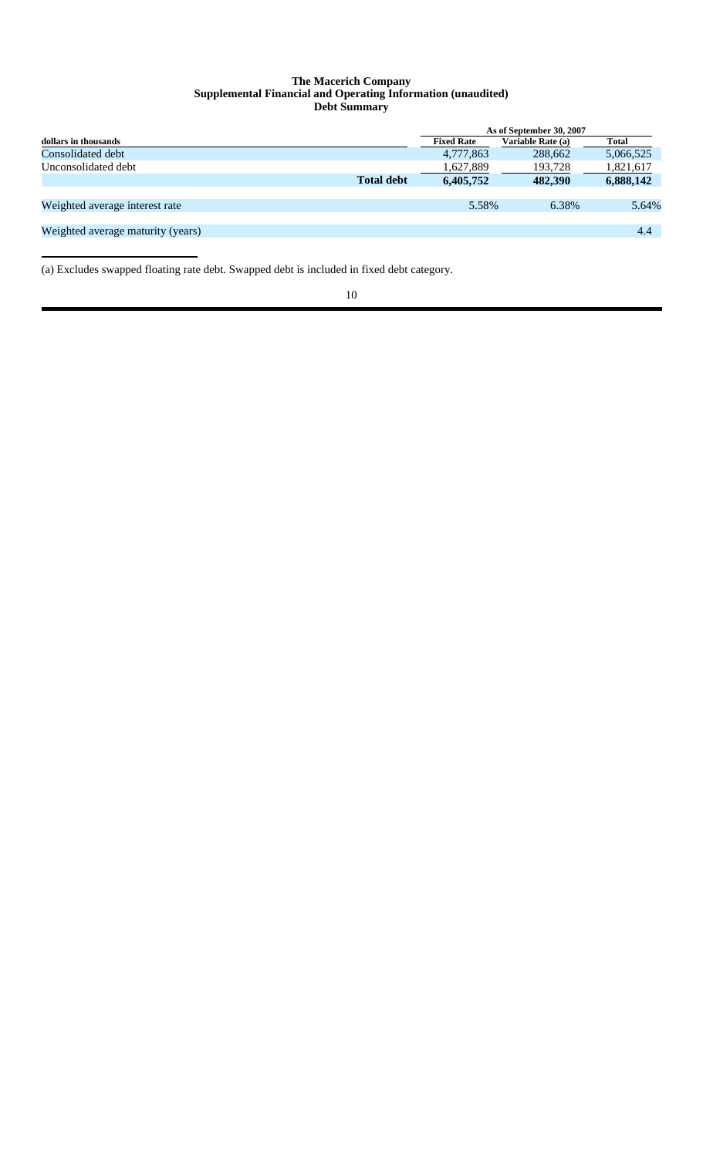#### **The Macerich Company Supplemental Financial and Operating Information (unaudited) Debt Summary**

|                                   |                   | As of September 30, 2007 |                   |           |  |  |  |
|-----------------------------------|-------------------|--------------------------|-------------------|-----------|--|--|--|
| dollars in thousands              |                   | <b>Fixed Rate</b>        | Variable Rate (a) | Total     |  |  |  |
| Consolidated debt                 |                   | 4,777,863                | 288,662           | 5,066,525 |  |  |  |
| Unconsolidated debt               |                   | 1,627,889                | 193,728           | 1,821,617 |  |  |  |
|                                   | <b>Total debt</b> | 6,405,752                | 482,390           | 6,888,142 |  |  |  |
|                                   |                   |                          |                   |           |  |  |  |
| Weighted average interest rate    |                   | 5.58%                    | 6.38%             | 5.64%     |  |  |  |
|                                   |                   |                          |                   |           |  |  |  |
| Weighted average maturity (years) |                   |                          |                   | 4.4       |  |  |  |
|                                   |                   |                          |                   |           |  |  |  |

(a) Excludes swapped floating rate debt. Swapped debt is included in fixed debt category.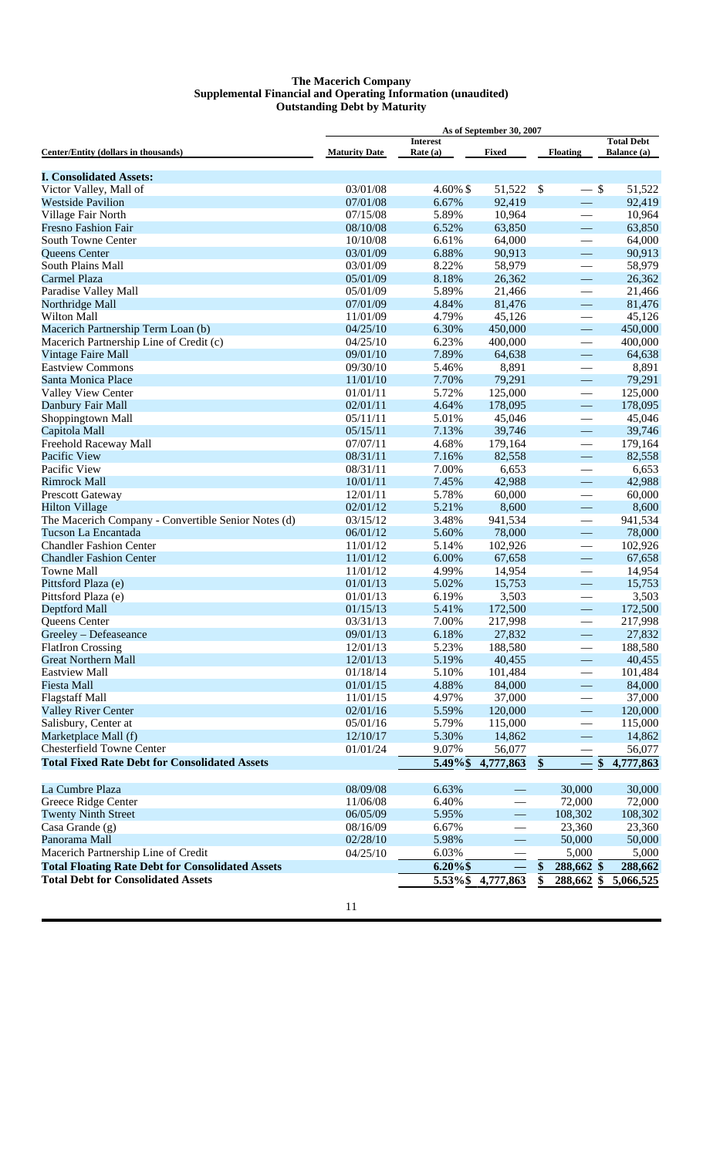#### **The Macerich Company Supplemental Financial and Operating Information (unaudited) Outstanding Debt by Maturity**

| As of September 30, 2007                                |                      |                             |                          |                                             |                                         |
|---------------------------------------------------------|----------------------|-----------------------------|--------------------------|---------------------------------------------|-----------------------------------------|
| Center/Entity (dollars in thousands)                    | <b>Maturity Date</b> | <b>Interest</b><br>Rate (a) | <b>Fixed</b>             | <b>Floating</b>                             | <b>Total Debt</b><br><b>Balance</b> (a) |
| <b>I. Consolidated Assets:</b>                          |                      |                             |                          |                                             |                                         |
| Victor Valley, Mall of                                  | 03/01/08             | 4.60% \$                    | 51,522                   | \$<br>$-$ \$                                | 51,522                                  |
| <b>Westside Pavilion</b>                                | 07/01/08             | 6.67%                       | 92,419                   |                                             | 92,419                                  |
| Village Fair North                                      | 07/15/08             | 5.89%                       | 10,964                   |                                             | 10,964                                  |
| <b>Fresno Fashion Fair</b>                              | 08/10/08             | 6.52%                       | 63,850                   |                                             | 63,850                                  |
| South Towne Center                                      | 10/10/08             | 6.61%                       | 64,000                   |                                             | 64,000                                  |
| Queens Center                                           | 03/01/09             | 6.88%                       | 90,913                   |                                             | 90,913                                  |
| South Plains Mall                                       | 03/01/09             | 8.22%                       | 58,979                   |                                             | 58,979                                  |
| Carmel Plaza                                            | 05/01/09             | 8.18%                       | 26,362                   |                                             | 26,362                                  |
| Paradise Valley Mall                                    | 05/01/09             | 5.89%                       | 21,466                   |                                             | 21,466                                  |
| Northridge Mall                                         | 07/01/09             | 4.84%                       | 81,476                   | $\qquad \qquad$<br>$\overline{\phantom{0}}$ | 81,476                                  |
|                                                         |                      |                             |                          |                                             |                                         |
| Wilton Mall                                             | 11/01/09             | 4.79%                       | 45,126                   | $\hspace{0.1mm}-\hspace{0.1mm}$             | 45,126                                  |
| Macerich Partnership Term Loan (b)                      | 04/25/10             | 6.30%                       | 450,000                  | $\overline{\phantom{0}}$                    | 450,000                                 |
| Macerich Partnership Line of Credit (c)                 | 04/25/10             | 6.23%                       | 400,000                  |                                             | 400,000                                 |
| <b>Vintage Faire Mall</b>                               | 09/01/10             | 7.89%                       | 64,638                   | $\overline{\phantom{m}}$                    | 64,638                                  |
| <b>Eastview Commons</b>                                 | 09/30/10             | 5.46%                       | 8,891                    |                                             | 8,891                                   |
| Santa Monica Place                                      | 11/01/10             | 7.70%                       | 79,291                   | $\overline{\phantom{0}}$                    | 79,291                                  |
| Valley View Center                                      | 01/01/11             | 5.72%                       | 125,000                  | $\hspace{0.1mm}-\hspace{0.1mm}$             | 125,000                                 |
| Danbury Fair Mall                                       | 02/01/11             | 4.64%                       | 178,095                  | $\qquad \qquad -$                           | 178,095                                 |
| Shoppingtown Mall                                       | 05/11/11             | 5.01%                       | 45,046                   | $\overline{\phantom{0}}$                    | 45,046                                  |
| Capitola Mall                                           | 05/15/11             | 7.13%                       | 39,746                   | $\overline{\phantom{0}}$                    | 39,746                                  |
| Freehold Raceway Mall                                   | 07/07/11             | 4.68%                       | 179,164                  |                                             | 179,164                                 |
| Pacific View                                            | 08/31/11             | 7.16%                       | 82,558                   | $\overline{\phantom{0}}$                    | 82,558                                  |
| Pacific View                                            | 08/31/11             | 7.00%                       | 6,653                    |                                             | 6,653                                   |
| <b>Rimrock Mall</b>                                     | 10/01/11             | 7.45%                       | 42,988                   | $\overline{\phantom{0}}$                    | 42,988                                  |
| Prescott Gateway                                        | 12/01/11             | 5.78%                       | 60,000                   | $\qquad \qquad$                             | 60,000                                  |
| <b>Hilton Village</b>                                   | 02/01/12             | 5.21%                       | 8,600                    | $\overline{\phantom{0}}$                    | 8,600                                   |
| The Macerich Company - Convertible Senior Notes (d)     | 03/15/12             | 3.48%                       | 941,534                  |                                             | 941,534                                 |
| Tucson La Encantada                                     | 06/01/12             | 5.60%                       | 78,000                   | $\overline{\phantom{0}}$                    | 78,000                                  |
| <b>Chandler Fashion Center</b>                          | 11/01/12             | 5.14%                       | 102,926                  |                                             | 102,926                                 |
| <b>Chandler Fashion Center</b>                          | 11/01/12             | 6.00%                       | 67,658                   |                                             | 67,658                                  |
| <b>Towne Mall</b>                                       | 11/01/12             | 4.99%                       | 14,954                   |                                             | 14,954                                  |
| Pittsford Plaza (e)                                     | 01/01/13             | 5.02%                       | 15,753                   |                                             | 15,753                                  |
| Pittsford Plaza (e)                                     | 01/01/13             | 6.19%                       | 3,503                    | $\hspace{0.05cm}$                           | 3,503                                   |
| Deptford Mall                                           | 01/15/13             | 5.41%                       | 172,500                  | $\overline{\phantom{0}}$                    | 172,500                                 |
| Queens Center                                           | 03/31/13             | 7.00%                       | 217,998                  |                                             | 217,998                                 |
| Greeley - Defeaseance                                   | 09/01/13             | 6.18%                       | 27,832                   |                                             | 27,832                                  |
| <b>FlatIron Crossing</b>                                | 12/01/13             | 5.23%                       | 188,580                  | $\hspace{0.1mm}-\hspace{0.1mm}$             | 188,580                                 |
| <b>Great Northern Mall</b>                              | 12/01/13             | 5.19%                       | 40,455                   |                                             | 40,455                                  |
| <b>Eastview Mall</b>                                    | 01/18/14             | 5.10%                       | 101,484                  | $\overline{\phantom{0}}$                    | 101,484                                 |
| <b>Fiesta Mall</b>                                      | 01/01/15             | 4.88%                       | 84,000                   | $\overline{\phantom{0}}$                    | 84,000                                  |
| <b>Flagstaff Mall</b>                                   | 11/01/15             | 4.97%                       | 37,000                   |                                             | 37,000                                  |
| <b>Valley River Center</b>                              | 02/01/16             | 5.59%                       | 120,000                  |                                             | 120,000                                 |
|                                                         | 05/01/16             |                             |                          | $\overline{\phantom{0}}$                    |                                         |
| Salisbury, Center at                                    |                      | 5.79%                       | 115,000                  |                                             | 115,000                                 |
| Marketplace Mall (f)                                    | 12/10/17             | 5.30%                       | 14,862                   | $\overline{\phantom{0}}$                    | 14,862                                  |
| Chesterfield Towne Center                               | 01/01/24             | 9.07%                       | 56,077                   |                                             | 56,077                                  |
| <b>Total Fixed Rate Debt for Consolidated Assets</b>    |                      | 5.49%\$                     | 4,777,863                | \$                                          | 4,777,863<br>\$                         |
| La Cumbre Plaza                                         | 08/09/08             | 6.63%                       |                          | 30,000                                      | 30,000                                  |
| Greece Ridge Center                                     | 11/06/08             | 6.40%                       |                          | 72,000                                      | 72,000                                  |
| <b>Twenty Ninth Street</b>                              | 06/05/09             | 5.95%                       | $\overline{\phantom{0}}$ | 108,302                                     | 108,302                                 |
| Casa Grande $(g)$                                       | 08/16/09             | 6.67%                       | $\overline{\phantom{0}}$ | 23,360                                      | 23,360                                  |
| Panorama Mall                                           | 02/28/10             | 5.98%                       |                          | 50,000                                      | 50,000                                  |
| Macerich Partnership Line of Credit                     | 04/25/10             | 6.03%                       |                          | 5,000                                       | 5,000                                   |
| <b>Total Floating Rate Debt for Consolidated Assets</b> |                      | $6.20\%$ \$                 |                          | 288,662 \$<br>S                             | 288,662                                 |
|                                                         |                      |                             |                          |                                             |                                         |
| <b>Total Debt for Consolidated Assets</b>               |                      |                             | 5.53%\$ 4,777,863        | \$                                          | 288,662 \$ 5,066,525                    |